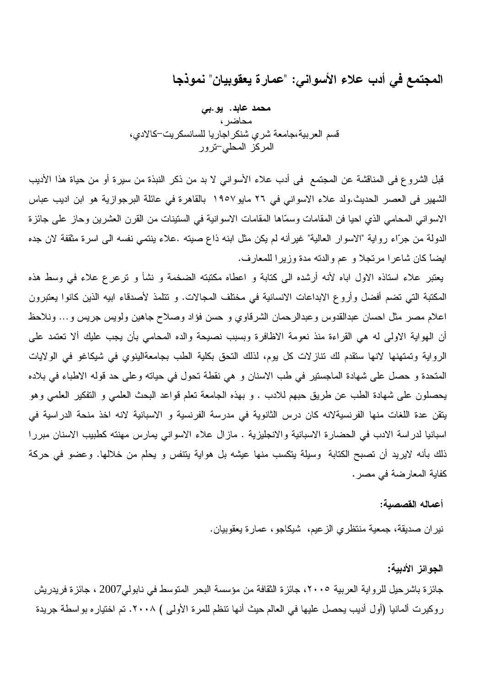المجتمع في أدب علاء الأسواني: "عمارة يعقوبيان" نموذجا

محمد عابد. یو بی محاضر ، قسم العربية،جامعة شرى شنكر اجاريا للسانسكريت–كالادي، المركز المحلي-ترور

قبل الشروع في المناقشة عن المجتمع في أدب علاء الأسواني لا بد من ذكر النبذة من سيرة أو من حياة هذا الأديب الشهير في العصر الحديث.ولد علاء الاسواني في ٢٦ مايو١٩٥٧ بالقاهرة في عائلة البرجوازية هو ابن اديب عباس الاسواني المحامي الذي احيا فن المقامات وسمّاها المقامات الاسوانية في الستينات من القرن العشرين وحاز على جائزة الدولة من جرّاء رواية "الاسوار العالية" غيرأنه لم يكن مثل ابنه ذاع صيته .علاء ينتمي نفسه الى اسرة مثقفة لان جده ايضاً كان شاعرا مرتجلا و عم والدته مدة وزيرا للمعارف.

يعتبر علاء استاذه الاول اباه لأنه أرشده الى كتابة و اعطاه مكتبته الضخمة و نشأ و نرعرع علاء في وسط هذه المكتبة التي تضم أفضل وأروع الابداعات الانسانية في مختلف المجالات. و تتلمذ لأصدقاء ابيه الذين كانوا يعتبرون اعلام مصر مثل احسان عبدالقدوس وعبدالرحمان الشرقاوي و حسن فؤاد وصلاح جاهين ولويس جريس و… ونلاحظ أن الهواية الاولى له هي القراءة منذ نعومة الاظافرة وبسبب نصيحة والده المحامى بأن يجب عليك ألا تعتمد على الرواية وتمتهنها لانها ستقدم لك نتازلات كل يوم، لذلك التحق بكلية الطب بجامعةالينوى في شيكاغو في الولايات المتحدة و حصل على شهادة الماجستير في طب الاسنان و هي نقطة تحول في حياته وعلى حد قوله الاطباء في بلاده يحصلون على شهادة الطب عن طريق حبهم للادب . و بهذه الجامعة نعلم قواعد البحث العلمي و التفكير العلمي وهو يتقن عدة اللغات منها الفرنسيةلانه كان درس الثانوية في مدرسة الفرنسية و الاسبانية لانه اخذ منحة الدراسية في اسبانيا لدراسة الادب في الحضارة الاسبانية والانجليزية . مازال علاء الاسواني يمارس مهنته كطبيب الاسنان مبررا ذلك بأنه لايريد أن تصبح الكتابة وسيلة يتكسب منها عيشه بل هواية يتنفس و يحلم من خلالها. وعضو في حركة كفاية المعارضة في مصر .

## أعماله القصصبة:

نيران صديقة، جمعية منتظري الزعيم، شيكاجو ، عمارة يعقوبيان.

الجوائز الأدبية:

جائز ة باشر حيل للرواية العربية ٢٠٠٥، جائز ة الثقافة من مؤسسة البحر المتوسط في نابولي2007 ، جائز ة فريدريش روكيرت ألمانيا (أول أديب يحصل عليها في العالم حيث أنها تنظم للمرة الأولى ) ٢٠٠٨. تم اختيار ه بو اسطة جريدة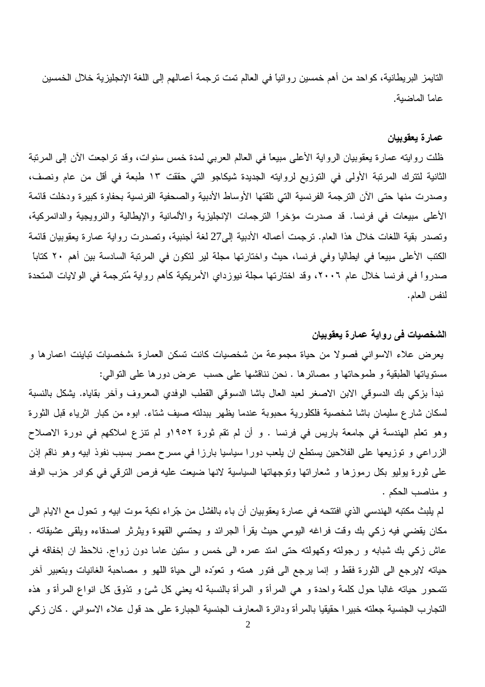النايمز البريطانية، كواحد من أهم خمسين روائياً في العالم تمت ترجمة أعمالهم إلى اللغة الإنجليزية خلال الخمسين عاماً الماضية.

## عمارة يعقوبيان

ظلت روايته عمارة يعقوبيان الرواية الأعلى مبيعاً في العالم العربي لمدة خمس سنوات، وقد تراجعت الأن إلى المرتبة الثانية لتترك المرتبة الأولى في التوزيع لروايته الجديدة شيكاجو التي حققت ١٣ طبعة في أقل من عام ونصف، وصدرت منها حتى الأن الترجمة الفرنسية التي تلقتها الأوساط الأدبية والصحفية الفرنسية بحفاوة كبيرة ودخلت قائمة الأعلى مبيعات في فرنسا. قد صدرت مؤخراً الترجمات الإنجليزية والألمانية والإيطالية والنرويجية والدانمركية، وتصدر بقية اللغات خلال هذا العام. ترجمت أعماله الأدبية إلى27 لغة أجنبية، وتصدرت رواية عمارة يعقوبيان قائمة الكتب الأعلى مبيعًا في ايطاليا وفي فرنسا، حيث واختارتها مجلة لير لتكون في المرتبة السادسة بين أهم ٢٠ كتاباً صدرواً في فرنسا خلال عام ٢٠٠٦، وقد اختارتها مجلة نيوزداي الأمريكية كأهم رواية مُترجمة في الولايات المتحدة لنفس العام.

## الشخصيات في رواية عمارة يعقوبيان

يعرض علاء الاسواني فصولا من حياة مجموعة من شخصيات كانت تسكن العمارة ،شخصيات تباينت اعمارها و مستوياتها الطبقية و طموحاتها و مصائرها . نحن نناقشها على حسب عرض دورها على النوالي: نبدأ بزكي بك الدسوقي الابن الاصغر لعبد العال باشا الدسوقي القطب الوفدي المعروف وأخر بقاياه. يشكل بالنسبة لسكان شارع سليمان باشا شخصية فلكلورية محبوبة عندما يظهر ببدلته صيف شتاء. ابوه من كبار اثرياء قبل الثورة وهو تعلَّم الهندسة في جامعة باريس في فرنسا . و أن لم تقم ثورة ١٩٥٢و لم تتزع املاكهم في دورة الاصلاح الزراعي و نوزيعها على الفلاحين يستطع ان يلعب دورا سياسيا بارزا في مسرح مصر بسبب نفوذ ابيه وهو ناقم إذن على ثورة بوليو بكل رموزها و شعاراتها وتوجهاتها السياسية لانها ضيعت عليه فرص الترقي في كوادر حزب الوفد و مناصب الحكم .

لم يلبث مكتبه الهندسي الذي افتتحه في عمارة يعقوبيان أن باء بالفشل من جّراء نكبة موت ابيه و تحول مع الايام المي مكان يقضي فيه زكي بك وقت فراغه اليومي حيث يقرأ الجرائد و يحتسى القهوة ويثرثر اصدقاءه ويلقى عشيقاته . عاش زكي بك شبابه و رجولته وكهولته حتى امتد عمره الى خمس و ستين عاما دون زواج. نلاحظ ان إخفاقه في حياته لايرجع الى الثورة فقط و إنما برجع الى فتور همته و تعوّده الى حياة اللهو و مصاحبة الغانيات وبتعبير أخر نتمحور حياته غالبًا حول كلمة واحدة و هي المرأة و المرأة بالنسبة له يعني كل شيئ و نذوق كل انواع المرأة و هذه النجارب الجنسية جعلته خبيرًا حقيقيا بالمرأة ودائرة المعارف الجنسية الجبارة على حد قول علاء الاسواني . كان زكي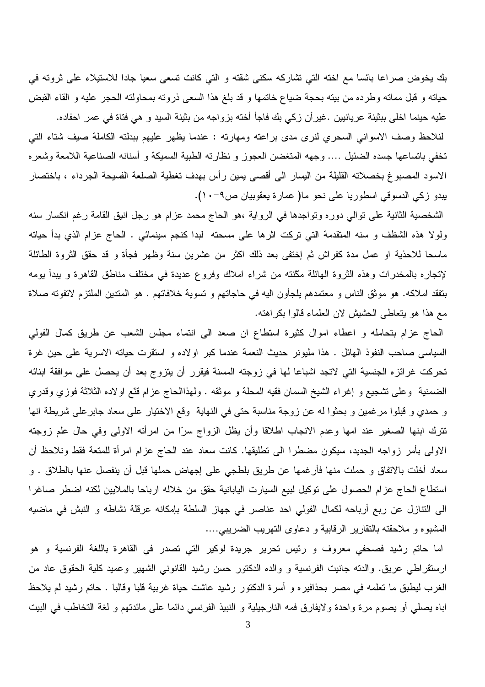بك يخوض صراعا بائسا مع اخته التي نشاركه سكني شقته و التي كانت تسعى سعيا جادا للاستيلاء على ثروته في حياته و قبل مماته وطرده من بيته بحجة ضياع خاتمها و قد بلغ هذا السعى ذروته بمحاولته الحجر عليه و القاء القبض عليه حينما اخلي ببثينة عريانيين .غيرأن زكي بك فاجأ أخته بزواجه من بثينة السيد و هي فتاة في عمر احفاده. لنلاحظ وصف الاسواني السحري لنرى مدى براعته ومهارته : عندما يظهر عليهم ببدلته الكاملة صيف شتاء التي تخفي باتساعها جسده الضئيل …. وجهه المتغضن العجوز و نظارته الطبية السميكة و أسنانه الصناعية اللامعة وشعره الاسود المصبوغ بخصلاته القليلة من اليسار الى أقصى يمين رأس بهدف تغطية الصلعة الفسيحة الجرداء ، باختصار يبدو زكي الدسوقي اسطوريا على نحو ما( عمارة يعقوبيان ص٩-١٠).

الشخصية الثانية على نوالي دوره ونواجدها في الرواية ،هو الحاج محمد عزام هو رجل انيق القامة رغم انكسار سنه ولولا هذه الشظف و سنه المتقدمة التي تركت اثرها على مسحته لبدا كنجم سينمائي . الحاج عزام الذي بدأ حياته ماسحا للاحذية او عمل مدة كفراش ثم إختفى بعد ذلك اكثر من عشرين سنة وظهر فجأة و قد حقق الثروة الطائلة لإنجاره بالمخدرات وهذه الثروة الهائلة مكّنته من شراء املاك وفروع عديدة في مختلف مناطق القاهرة و يبدأ يومه بتفقد املاكه. هو موثق الناس و معتمدهم يلجأون اليه في حاجاتهم و تسوية خلافاتهم . هو المتدين الملتزم لاتفوته صلاة مع هذا هو يتعاطى الحشيش لان العلماء قالوا بكراهته.

الحاج عزام بتحامله و اعطاء اموال كثيرة استطاع ان صعد الى انتماء مجلس الشعب عن طريق كمال الفولي السياسي صاحب النفوذ الهائل . هذا مليونر حديث النعمة عندما كبر اولاده و استقرت حياته الاسرية على حين غرة تحركت غرائزه الجنسية التي لاتجد اشباعا لها في زوجته المسنة فيقرر أن يتزوج بعد أن يحصل على موافقة ابنائه الضمنية ۖ وعلى تشجيع و إغراء الشيخ السمان فقيه المحلة و موثقه . ولهذاالحاج عزام قدَّع اولاده الثلاثة فوزي وقدري و حمدي و قبلوا مرغمين و بحثوا له عن زوجة مناسبة حتى في النهاية وقع الاختيار على سعاد جابرعلى شريطة انها نترك ابنها الصغير عند امها وعدم الانجاب اطلاقا وأن يظل الزواج سرًا من امرأته الاولى وفي حال علم زوجته الاولى بأمر زواجه الجديد، سيكون مضطرا الى نطليقها. كانت سعاد عند الحاج عزام امرأة للمتعة فقط ونلاحظ أن سعاد أخلت بالاتفاق و حملت منها فأرغمها عن طريق بلطجي على إجهاض حملها قبل أن ينفصل عنها بالطلاق . و استطاع الحاج عزام الحصول على توكيل لبيع السيارت اليابانية حقق من خلاله ارباحا بالملايين لكنه اضطر صاغرا الى النتازل عن ربع أرباحه لكمال الفولي احد عناصر في جهاز السلطة بإمكانه عرقلة نشاطه و النبش في ماضيه المشبوه و ملاحقته بالنقارير الرقابية و دعاوى التهريب الضريبي....

اما حاتم رشيد فصحفي معروف و رئيس تحرير جريدة لوكير التي تصدر في القاهرة باللغة الفرنسية و هو ارستقراطي عريق. والدته جانيت الفرنسية و والده الدكتور حسن رشيد القانوني الشهير وعميد كلية الحقوق عاد من الغرب ليطبق ما نعلمه في مصر بحذافيره و أسرة الدكتور رشيد عاشت حياة غربية قلبا وقالبا . حاتم رشيد لم يلاحظ اباه يصلَّى أو يصوم مرة واحدة ولايفارق فمه النارجيلية و النبيذ الفرنسي دائما على مائدتهم و لغة التخاطب في البيت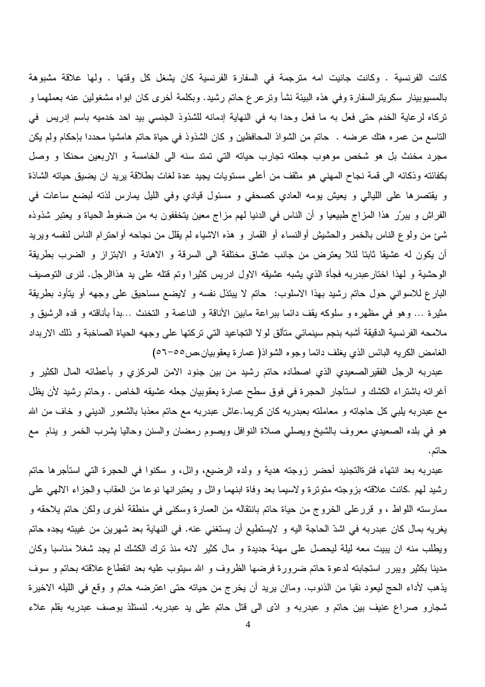كانت الفرنسية . وكانت جانيت امه مترجمة في السفارة الفرنسية كان يشغل كل وقتها . ولها علاقة مشبوهة بالمسيوبينار سكريترالسفارة وفي هذه البيئة نشأ ونرعرع حاتم رشيد. وبكلمة أخرى كان ابواه مشغولين عنه بعملهما و تركاه لرعاية الخدم حتى فعل به ما فعل وحدا به في النهاية إدمانه للشذوذ الجنسي بيد احد خدميه باسم إدريس في الناسع من عمره هتك عرضه . حاتم من الشواذ المحافظين و كان الشذوذ في حياة حاتم هامشيا محددا بإحكام ولم يكن مجرد مخنث بل هو شخص موهوب جعلته تجارب حياته التي تمتد سنه الى الخامسة و الاربعين محنكا و وصل بكفائته وذكائه الى قمة نجاح المهنى هو مثقف من أعلى مستويات يجيد عدة لغات بطلاقة يريد ان يضيق حياته الشاذة و يقتصرها على الليالي و يعيش يومه العادي كصحفى و مسئول قيادي وفي الليل يمارس لذته لبضع ساعات في الفراش و يبرّر هذا المزاج طبيعيا و أن الناس في الدنيا لهم مزاج معين يتخففون به من ضغوط الحياة و يعتبر شذوذه شئ من ولوع الناس بالخمر والحشيش أوالنساء أو القمار و هذه الاشياء لم يقلل من نجاحه أواحترام الناس لنفسه ويريد أن يكون له عشيقا ثابتا لئلا يعترض من جانب عشاق مختلفة الى السرقة و الاهانة و الابنزاز و الضرب بطريقة الوحشية و لهذا اختارعبدربه فجأة الذي يشبه عشيقه الاول ادريس كثيرا وتم قتله على يد هذاالرجل. لنرى التوصيف البارع للاسواني حول حاتم رشيد بهذا الاسلوب: حاتم لا يبتذل نفسه و لايضع مساحيق على وجهه أو يتأود بطريقة مثيرة … وهو في مظهره و سلوكه يقف دائما ببراعة مابين الأناقة و الناعمة و التخنث …بدأ بأناقته و قده الرشيق و ملامحه الفرنسية الدقيقة أشبه بنجم سينمائي متألق لولا التجاعيد التي تركتها على وجهه الحياة الصاخبة و ذلك الاربداد الغامض الكريه البائس الذي يغلف دائما وجوه الشواذ( عمارة يعقوبيان،ص٥٥-٥٦)

عبدربه الرجل الفقيرالصعيدي الذي اصطاده حاتم رشيد من بين جنود الامن المركزي و بأعطائه المال الكثير و أغرائه باشتراء الكشك و استأجار الحجرة في فوق سطح عمارة يعقوبيان جعله عشيقه الخاص . وحاتم رشيد لأن يظل مع عبدربه يلبي كل حاجاته و معاملته بعبدربه كان كريما.عاش عبدربه مع حاتم معذبا بالشعور الدينبي و خاف من الله هو في بلده الصعيدي معروف بالشيخ ويصلبي صلاة النوافل ويصوم رمضان والسنن وحاليا يشرب الخمر و ينام ًمع حاتم.

عبدربه بعد انتهاء فترةالنجنيد أحضر زوجته هدية و ولده الرضيع، وائل، و سكنوا في الحجرة التي استأجرها حاتم رشيد لمهم كانت علاقته بزوجته متوترة ولاسيما بعد وفاة ابنهما وائل و يعتبرانها نوعا من العقاب والجزاء الالهي علمي ممارسته اللواط ، و قررعلي الخروج من حياة حاتم بانتقاله من العمارة وسكني في منطقة أخرى ولكن حاتم يلاحقه و يغريه بمال كان عبدربه في اشدّ الحاجة اليه و لايستطيع أن يستغني عنه. في النهاية بعد شهرين من غيبته يجده حاتم ويطلب منه ان يبيت معه ليلة ليحصل على مهنة جديدة و مال كثير لانه منذ ترك الكشك لم يجد شغلا مناسبا وكان مدينا بكثير ويبرر استجابته لدعوة حاتم ضرورة فرضها الظروف و الله سيتوب عليه بعد انقطاع علاقته بحاتم و سوف يذهب لأداء الحج ليعود نقيا من الذنوب. وماإن يريد أن يخرج من حياته حتى اعترضه حاتم و وقع في الليله الاخيرة شجارو صراع عنيف بين حاتم و عبدربه و ادَّى الى قُتل حاتم على يد عبدربه. لنستلذ بوصف عبدربه بقلم علاء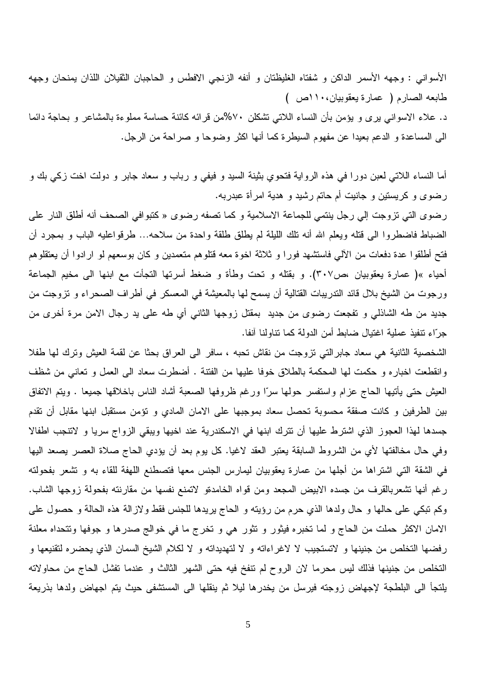الأسواني : وجهه الأسمر الداكن و شفتاه الغليظتان و أنفه الزنجي الافطس و الحاجبان الثقيلان اللذان يمنحان وجهه طابعه الصارم ( عمارة يعقوبيان،١١٠ص )

د. علاء الاسواني برى و يؤمن بأن النساء اللاتي تشكلن ٧٠%من قرائه كائنة حساسة مملوءة بالمشاعر و بحاجة دائما الى المساعدة و الدعم بعيدا عن مفهوم السيطرة كما أنها اكثر وضوحا و صراحة من الرجل.

أما النساء اللاتـى لعبن دورا فـى هذه الرواية فتحوي بثينة السيد و فيفي و رباب و سعاد جابر و دولت اخت زكـي بك و رضوي و كريستين و جانيت أم حاتم رشيد و هدية امرأة عبدربه.

رضوى التي تزوجت إلى رجل ينتمي للجماعة الاسلامية و كما تصفه رضوى « كتبوافي الصحف أنه أطلق النار على الضباط فاضطروا الى قتله ويعلم الله أنه تلك الليلة لم يطلق طلقة واحدة من سلاحه… طرقواعليه الباب و بمجرد أن فتح أطلقوا عدة دفعات من الألمي فاستشهد فورا و ثلاثة اخوة معه قتلوهم متعمدين و كان بوسعهم لو ارادوا أن يعتقلوهم أحياء »( عمارة يعقوبيان ،ص٣٠٧). و بقتله و نحت وطأة و ضغط أسرتها التجأت مع ابنها الى مخيم الجماعة ورجوت من الشيخ بلال قائد الندريبات القتالية أن يسمح لها بالمعيشة في المعسكر في أطراف الصحراء و نزوجت من جديد من طه الشاذلمي و نفجعت رضوى من جديد بمقتل زوجها الثانبي أي طه على يد رجال الامن مرة أخرى من جرّاء تنفيذ عملية اغتيال ضابط أمن الدولة كما تناولنا أنفا.

الشخصية الثانية هي سعاد جابرالتي نزوجت من نقاش نحبه ، سافر الى العراق بحثا عن لقمة العيش ونرك لها طفلا وانقطعت اخباره و حكمت لها المحكمة بالطلاق خوفا عليها من الفتنة . أضطرت سعاد الى العمل و تعانى من شظف العيش حتى يأتيها الحاج عزام واستفسر حولها سرًا ورغم ظروفها الصعبة أشاد الناس باخلاقها جميعا . ويتم الاتفاق بين الطرفين و كانت صفقة محسوبة تحصل سعاد بموجبها على الامان المادي و نؤمن مستقبل ابنها مقابل أن تقدم جسدها لهذا العجوز الذي اشترط عليها أن نترك ابنها في الاسكندرية عند اخيها ويبقى الزواج سريا و لاتنجب اطفالا وفي حال مخالفتها لأي من الشروط السابقة يعتبر العقد لاغيا. كل يوم بعد أن يؤدي الحاج صلاة العصر يصعد اليها في الشقة التي اشتراها من أجلها من عمارة يعقوبيان ليمارس الجنس معها فتصطنع اللهفة للقاء به و تشعر بفحولته رغم أنها تشعربالقرف من جسده الابيض المجعد ومن قواه الخامدةو لاتمنع نفسها من مقارنته بفحولة زوجها الشاب. وكم تبكي على حالها و حال ولدها الذي حرم من رؤيته و الحاج يريدها للجنس فقط ولازالة هذه الحالة و حصول على الامان الاكثر حملت من الحاج و لما تخبره فيثور و تثور هي و تخرج ما في خوالج صدرها و جوفها وتتحداه معلنة رفضها التخلص من جنينها و لاتستجيب لا لاغراءاته و لا لتهديداته و لا لكلام الشيخ السمان الذي يحضره لتقنيعها و التخلص من جنينها فذلك ليس محرما لان الروح لم نتفخ فيه حتى الشهر الثالث و عندما تفشل الحاج من محاولاته يلتجأ الى البلطجة لإجهاض زوجته فيرسل من يخدرها ليلا ثم ينقلها الى المستشفى حيث يتم اجهاض ولدها بذريعة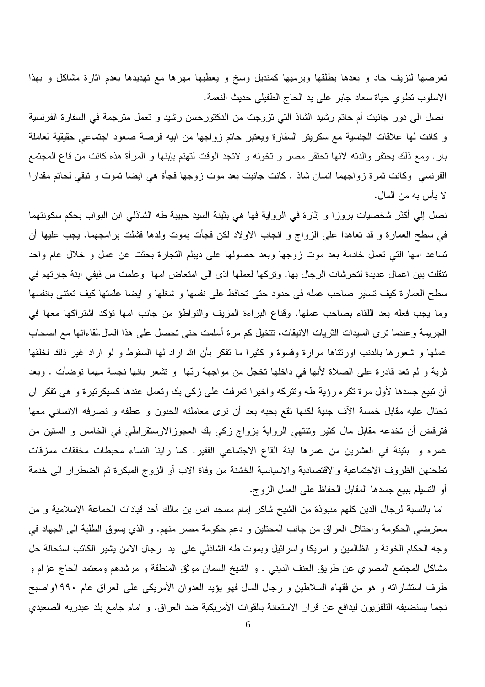تعرضها لنزيف حاد و بعدها يطلقها ويرميها كمنديل وسخ و يعطيها مهرها مع تهديدها بعدم اثارة مشاكل و بهذا الاسلوب نطوي حياة سعاد جابر على يد الحاج الطفيلي حديث النعمة.

نصل الى دور جانيت أم حاتم رشيد الشاذ التي نزوجت من الدكتورحسن رشيد و تعمل مترجمة في السفارة الفرنسية و كانت لها علاقات الجنسية مع سكرينر السفارة ويعتبر حاتم زواجها من ابيه فرصة صعود اجتماعى حقيقية لعاملة بار . ومع ذلك يحتقر والدته لانها تحتقر مصر و تخونه و لاتجد الوقت لتهتم بإبنها و المرأة هذه كانت من قاع المجتمع الفرنسي وكانت ثمرة زواجهما انسان شاذ . كانت جانيت بعد موت زوجها فجأة هي ايضا تموت و تبقى لحاتم مقدارا لا بأس به من المال.

نصل إلى أكثر شخصيات بروزا و إثارة في الرواية فها هي بثينة السيد حبيبة طه الشاذلي ابن البواب بحكم سكونتهما في سطح العمارة و قد تعاهدا على الزواج و انجاب الاولاد لكن فجأت بموت ولدها فشلت برامجهما. يجب عليها أن تساعد امها التي نعمل خادمة بعد موت زوجها وبعد حصولها على ديبلم النجارة بحثت عن عمل و خلال عام واحد نتقلت بين اعمال عديدة لتحرشات الرجال بها. وتركها لعملها ادّى الى امتعاض امها وعلمت من فيفي ابنة جارتهم في سطح العمارة كيف تساير صاحب عمله في حدود حتى تحافظ على نفسها و شغلها و ايضا علمتها كيف تعتني بانفسها وما يجب فعله بعد اللقاء بصاحب عملها. وقناع البراءة المزيف والتواطؤ من جانب امها نؤكد اشتراكها معها في الجريمة وعندما نرى السيدات الثريات الانيقات، تتخيل كم مرة أسلمت حتى تحصل على هذا المال لقاءاتها مع اصحاب عملها و شعورها بالذنب اورثتاها مرارة وفسوة و كثيرا ما نفكر بأن الله اراد لمها السقوط و لو اراد غير ذلك لخلقها ثرية و لم تعد قادرة على الصلاة لأنها في داخلها تخجل من مواجهة ربّها ۖ و تشعر بانها نجسة مهما توضأت . وبعد أن نبيع جسدها لأول مرة نكره رؤية طه ونتركه واخيرا نعرفت على زكي بك ونعمل عندها كسيكرنيرة و هي نفكر ان تحتال عليه مقابل خمسة الأف جنية لكنها نقع بحبه بعد أن نرى معاملته الحنون و عطفه و تصرفه الانساني معها فترفض أن تخدعه مقابل مال كثير ونتتهى الرواية بزواج زكى بك العجوزالارستقراطي في الخامس و الستين من عمره و بثينة في العشرين من عمرها ابنة القاع الاجتماعي الفقير. كما راينا النساء محبطات مخفقات ممزقات تطحنهن الظروف الاجتماعية والاقتصادية والاسياسية الخشنة من وفاة الاب أو الزوج المبكرة ثم الضطرار الى خدمة أو التسيلم ببيع جسدها المقابل الحفاظ على العمل الزوج.

اما بالنسبة لرجال الدين كلهم منبوذة من الشيخ شاكر إمام مسجد انس بن مالك أحد قيادات الجماعة الاسلامية و من معترضي الحكومة واحتلال العراق من جانب المحتلين و دعم حكومة مصر منهم. و الذي يسوق الطلبة الى الجهاد في وجه الحكام الخونة و الظالمين و امريكا واسرائيل وبموت طه الشاذلي على يد رجال الامن بشير الكاتب استحالة حل مشاكل المجتمع المصري عن طريق العنف الديني . و الشيخ السمان موثق المنطقة و مرشدهم ومعتمد الحاج عزام و طرف استثماراته و هو من فقهاء السلاطين و رجال المال فهو يؤيد العدوان الأمريكي على العراق عام ١٩٩٠واصبح نجما يستضيفه التلفزيون ليدافع عن قرار الاستعانة بالقوات الأمريكية ضد العراق. و امام جامع بلد عبدربه الصعيدي